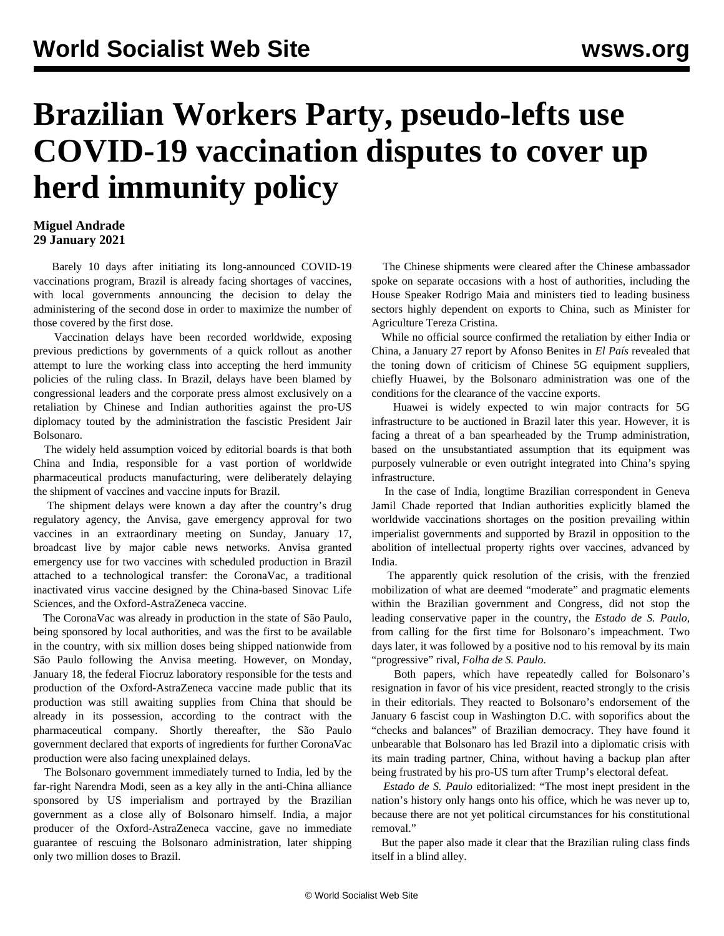## **Brazilian Workers Party, pseudo-lefts use COVID-19 vaccination disputes to cover up herd immunity policy**

## **Miguel Andrade 29 January 2021**

 Barely 10 days after initiating its long-announced COVID-19 vaccinations program, Brazil is already facing shortages of vaccines, with local governments announcing the decision to delay the administering of the second dose in order to maximize the number of those covered by the first dose.

 Vaccination delays have been recorded worldwide, exposing previous predictions by governments of a quick rollout as another attempt to lure the working class into accepting the herd immunity policies of the ruling class. In Brazil, delays have been blamed by congressional leaders and the corporate press almost exclusively on a retaliation by Chinese and Indian authorities against the pro-US diplomacy touted by the administration the fascistic President Jair Bolsonaro.

 The widely held assumption voiced by editorial boards is that both China and India, responsible for a vast portion of worldwide pharmaceutical products manufacturing, were deliberately delaying the shipment of vaccines and vaccine inputs for Brazil.

 The shipment delays were known a day after the country's drug regulatory agency, the Anvisa, gave emergency approval for two vaccines in an extraordinary meeting on Sunday, January 17, broadcast live by major cable news networks. Anvisa granted emergency use for two vaccines with scheduled production in Brazil attached to a technological transfer: the CoronaVac, a traditional inactivated virus vaccine designed by the China-based Sinovac Life Sciences, and the Oxford-AstraZeneca vaccine.

 The CoronaVac was already in production in the state of São Paulo, being sponsored by local authorities, and was the first to be available in the country, with six million doses being shipped nationwide from São Paulo following the Anvisa meeting. However, on Monday, January 18, the federal Fiocruz laboratory responsible for the tests and production of the Oxford-AstraZeneca vaccine made public that its production was still awaiting supplies from China that should be already in its possession, according to the contract with the pharmaceutical company. Shortly thereafter, the São Paulo government declared that exports of ingredients for further CoronaVac production were also facing unexplained delays.

 The Bolsonaro government immediately turned to India, led by the far-right Narendra Modi, seen as a key ally in the anti-China alliance sponsored by US imperialism and portrayed by the Brazilian government as a close ally of Bolsonaro himself. India, a major producer of the Oxford-AstraZeneca vaccine, gave no immediate guarantee of rescuing the Bolsonaro administration, later shipping only two million doses to Brazil.

 The Chinese shipments were cleared after the Chinese ambassador spoke on separate occasions with a host of authorities, including the House Speaker Rodrigo Maia and ministers tied to leading business sectors highly dependent on exports to China, such as Minister for Agriculture Tereza Cristina.

 While no official source confirmed the retaliation by either India or China, a January 27 report by Afonso Benites in *El País* revealed that the toning down of criticism of Chinese 5G equipment suppliers, chiefly Huawei, by the Bolsonaro administration was one of the conditions for the clearance of the vaccine exports.

 Huawei is widely expected to win major contracts for 5G infrastructure to be auctioned in Brazil later this year. However, it is facing a threat of a ban spearheaded by the Trump administration, based on the unsubstantiated assumption that its equipment was purposely vulnerable or even outright integrated into China's spying infrastructure.

 In the case of India, longtime Brazilian correspondent in Geneva Jamil Chade reported that Indian authorities explicitly blamed the worldwide vaccinations shortages on the position prevailing within imperialist governments and supported by Brazil in opposition to the abolition of intellectual property rights over vaccines, advanced by India.

 The apparently quick resolution of the crisis, with the frenzied mobilization of what are deemed "moderate" and pragmatic elements within the Brazilian government and Congress, did not stop the leading conservative paper in the country, the *Estado de S. Paulo*, from calling for the first time for Bolsonaro's impeachment. Two days later, it was followed by a positive nod to his removal by its main "progressive" rival, *Folha de S. Paulo*.

 Both papers, which have repeatedly called for Bolsonaro's resignation in favor of his vice president, reacted strongly to the crisis in their editorials. They reacted to Bolsonaro's endorsement of the January 6 fascist coup in Washington D.C. with soporifics about the "checks and balances" of Brazilian democracy. They have found it unbearable that Bolsonaro has led Brazil into a diplomatic crisis with its main trading partner, China, without having a backup plan after being frustrated by his pro-US turn after Trump's electoral defeat.

 *Estado de S. Paulo* editorialized: "The most inept president in the nation's history only hangs onto his office, which he was never up to, because there are not yet political circumstances for his constitutional removal."

 But the paper also made it clear that the Brazilian ruling class finds itself in a blind alley.